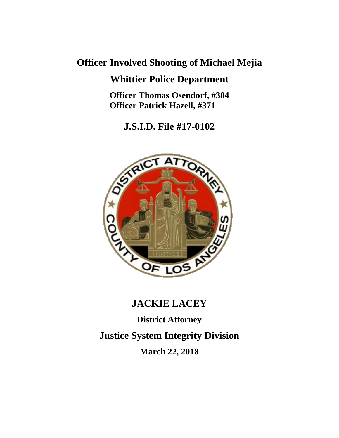# **Officer Involved Shooting of Michael Mejia**

## **Whittier Police Department**

**Officer Thomas Osendorf, #384 Officer Patrick Hazell, #371**

**J.S.I.D. File #17-0102**



# **JACKIE LACEY**

**District Attorney**

**Justice System Integrity Division**

**March 22, 2018**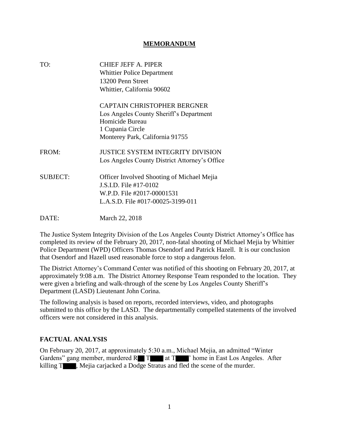#### **MEMORANDUM**

| TO:             | <b>CHIEF JEFF A. PIPER</b>                        |
|-----------------|---------------------------------------------------|
|                 | <b>Whittier Police Department</b>                 |
|                 | 13200 Penn Street                                 |
|                 | Whittier, California 90602                        |
|                 | <b>CAPTAIN CHRISTOPHER BERGNER</b>                |
|                 | Los Angeles County Sheriff's Department           |
|                 | Homicide Bureau                                   |
|                 | 1 Cupania Circle                                  |
|                 | Monterey Park, California 91755                   |
| FROM:           | <b>JUSTICE SYSTEM INTEGRITY DIVISION</b>          |
|                 | Los Angeles County District Attorney's Office     |
| <b>SUBJECT:</b> | <b>Officer Involved Shooting of Michael Mejia</b> |
|                 | J.S.I.D. File #17-0102                            |
|                 | W.P.D. File #2017-00001531                        |
|                 | L.A.S.D. File #017-00025-3199-011                 |
| DATE:           | March 22, 2018                                    |

The Justice System Integrity Division of the Los Angeles County District Attorney's Office has completed its review of the February 20, 2017, non-fatal shooting of Michael Mejia by Whittier Police Department (WPD) Officers Thomas Osendorf and Patrick Hazell. It is our conclusion that Osendorf and Hazell used reasonable force to stop a dangerous felon.

The District Attorney's Command Center was notified of this shooting on February 20, 2017, at approximately 9:08 a.m. The District Attorney Response Team responded to the location. They were given a briefing and walk-through of the scene by Los Angeles County Sheriff's Department (LASD) Lieutenant John Corina.

The following analysis is based on reports, recorded interviews, video, and photographs submitted to this office by the LASD. The departmentally compelled statements of the involved officers were not considered in this analysis.

#### **FACTUAL ANALYSIS**

On February 20, 2017, at approximately 5:30 a.m., Michael Mejia, an admitted "Winter Gardens" gang member, murdered  $R$  T at T  $\blacksquare$  ' home in East Los Angeles. After killing T , Mejia carjacked a Dodge Stratus and fled the scene of the murder.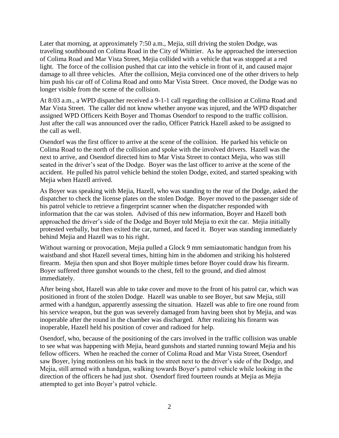Later that morning, at approximately 7:50 a.m., Mejia, still driving the stolen Dodge, was traveling southbound on Colima Road in the City of Whittier. As he approached the intersection of Colima Road and Mar Vista Street, Mejia collided with a vehicle that was stopped at a red light. The force of the collision pushed that car into the vehicle in front of it, and caused major damage to all three vehicles. After the collision, Mejia convinced one of the other drivers to help him push his car off of Colima Road and onto Mar Vista Street. Once moved, the Dodge was no longer visible from the scene of the collision.

At 8:03 a.m., a WPD dispatcher received a 9-1-1 call regarding the collision at Colima Road and Mar Vista Street. The caller did not know whether anyone was injured, and the WPD dispatcher assigned WPD Officers Keith Boyer and Thomas Osendorf to respond to the traffic collision. Just after the call was announced over the radio, Officer Patrick Hazell asked to be assigned to the call as well.

Osendorf was the first officer to arrive at the scene of the collision. He parked his vehicle on Colima Road to the north of the collision and spoke with the involved drivers. Hazell was the next to arrive, and Osendorf directed him to Mar Vista Street to contact Mejia, who was still seated in the driver's seat of the Dodge. Boyer was the last officer to arrive at the scene of the accident. He pulled his patrol vehicle behind the stolen Dodge, exited, and started speaking with Mejia when Hazell arrived.

As Boyer was speaking with Mejia, Hazell, who was standing to the rear of the Dodge, asked the dispatcher to check the license plates on the stolen Dodge. Boyer moved to the passenger side of his patrol vehicle to retrieve a fingerprint scanner when the dispatcher responded with information that the car was stolen. Advised of this new information, Boyer and Hazell both approached the driver's side of the Dodge and Boyer told Mejia to exit the car. Mejia initially protested verbally, but then exited the car, turned, and faced it. Boyer was standing immediately behind Mejia and Hazell was to his right.

Without warning or provocation, Mejia pulled a Glock 9 mm semiautomatic handgun from his waistband and shot Hazell several times, hitting him in the abdomen and striking his holstered firearm. Mejia then spun and shot Boyer multiple times before Boyer could draw his firearm. Boyer suffered three gunshot wounds to the chest, fell to the ground, and died almost immediately.

After being shot, Hazell was able to take cover and move to the front of his patrol car, which was positioned in front of the stolen Dodge. Hazell was unable to see Boyer, but saw Mejia, still armed with a handgun, apparently assessing the situation. Hazell was able to fire one round from his service weapon, but the gun was severely damaged from having been shot by Mejia, and was inoperable after the round in the chamber was discharged. After realizing his firearm was inoperable, Hazell held his position of cover and radioed for help.

Osendorf, who, because of the positioning of the cars involved in the traffic collision was unable to see what was happening with Mejia, heard gunshots and started running toward Mejia and his fellow officers. When he reached the corner of Colima Road and Mar Vista Street, Osendorf saw Boyer, lying motionless on his back in the street next to the driver's side of the Dodge, and Mejia, still armed with a handgun, walking towards Boyer's patrol vehicle while looking in the direction of the officers he had just shot. Osendorf fired fourteen rounds at Mejia as Mejia attempted to get into Boyer's patrol vehicle.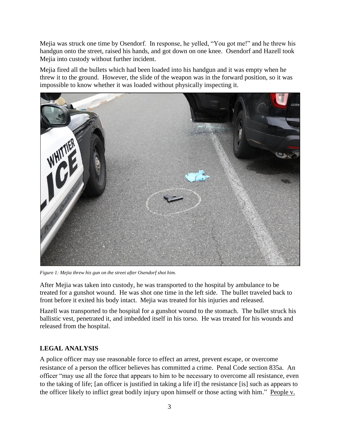Mejia was struck one time by Osendorf. In response, he yelled, "You got me!" and he threw his handgun onto the street, raised his hands, and got down on one knee. Osendorf and Hazell took Mejia into custody without further incident.

Mejia fired all the bullets which had been loaded into his handgun and it was empty when he threw it to the ground. However, the slide of the weapon was in the forward position, so it was impossible to know whether it was loaded without physically inspecting it.



*Figure 1: Mejia threw his gun on the street after Osendorf shot him.*

After Mejia was taken into custody, he was transported to the hospital by ambulance to be treated for a gunshot wound. He was shot one time in the left side. The bullet traveled back to front before it exited his body intact. Mejia was treated for his injuries and released.

Hazell was transported to the hospital for a gunshot wound to the stomach. The bullet struck his ballistic vest, penetrated it, and imbedded itself in his torso. He was treated for his wounds and released from the hospital.

## **LEGAL ANALYSIS**

A police officer may use reasonable force to effect an arrest, prevent escape, or overcome resistance of a person the officer believes has committed a crime. Penal Code section 835a. An officer "may use all the force that appears to him to be necessary to overcome all resistance, even to the taking of life; [an officer is justified in taking a life if] the resistance [is] such as appears to the officer likely to inflict great bodily injury upon himself or those acting with him." People v.